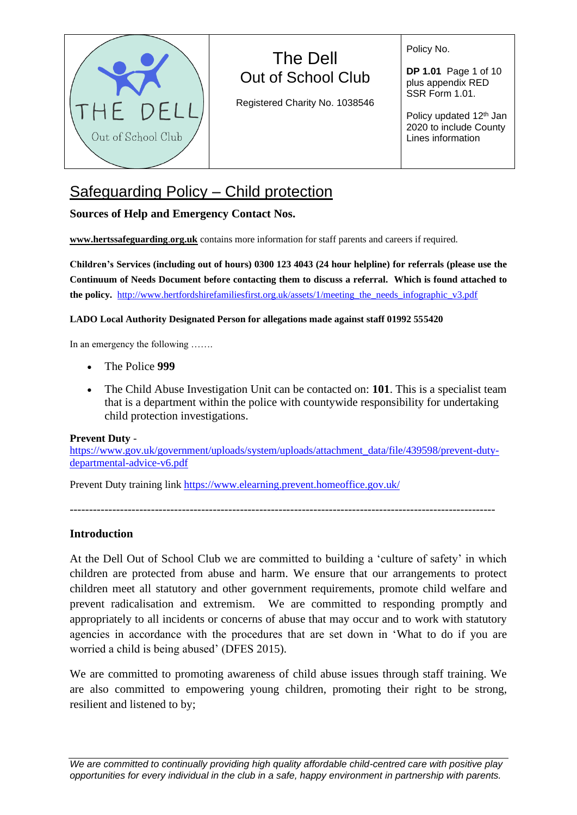

Registered Charity No. 1038546

Policy No.

**DP 1.01** Page 1 of 10 plus appendix RED SSR Form 1.01.

Policy updated 12<sup>th</sup> Jan 2020 to include County Lines information

# Safeguarding Policy – Child protection

# **Sources of Help and Emergency Contact Nos.**

**[www.hertssafeguarding](http://www.hertssafeguarding/)**.**org.uk** contains more information for staff parents and careers if required.

**Children's Services (including out of hours) 0300 123 4043 (24 hour helpline) for referrals (please use the Continuum of Needs Document before contacting them to discuss a referral. Which is found attached to the policy.** [http://www.hertfordshirefamiliesfirst.org.uk/assets/1/meeting\\_the\\_needs\\_infographic\\_v3.pdf](http://www.hertfordshirefamiliesfirst.org.uk/assets/1/meeting_the_needs_infographic_v3.pdf)

### **LADO Local Authority Designated Person for allegations made against staff 01992 555420**

In an emergency the following …….

- The Police **999**
- The Child Abuse Investigation Unit can be contacted on: **101**. This is a specialist team that is a department within the police with countywide responsibility for undertaking child protection investigations.

### **Prevent Duty** -

[https://www.gov.uk/government/uploads/system/uploads/attachment\\_data/file/439598/prevent-duty](https://www.gov.uk/government/uploads/system/uploads/attachment_data/file/439598/prevent-duty-departmental-advice-v6.pdf)[departmental-advice-v6.pdf](https://www.gov.uk/government/uploads/system/uploads/attachment_data/file/439598/prevent-duty-departmental-advice-v6.pdf)

Prevent Duty training link <https://www.elearning.prevent.homeoffice.gov.uk/>

--------------------------------------------------------------------------------------------------------------

# **Introduction**

At the Dell Out of School Club we are committed to building a 'culture of safety' in which children are protected from abuse and harm. We ensure that our arrangements to protect children meet all statutory and other government requirements, promote child welfare and prevent radicalisation and extremism. We are committed to responding promptly and appropriately to all incidents or concerns of abuse that may occur and to work with statutory agencies in accordance with the procedures that are set down in 'What to do if you are worried a child is being abused' (DFES 2015).

We are committed to promoting awareness of child abuse issues through staff training. We are also committed to empowering young children, promoting their right to be strong, resilient and listened to by;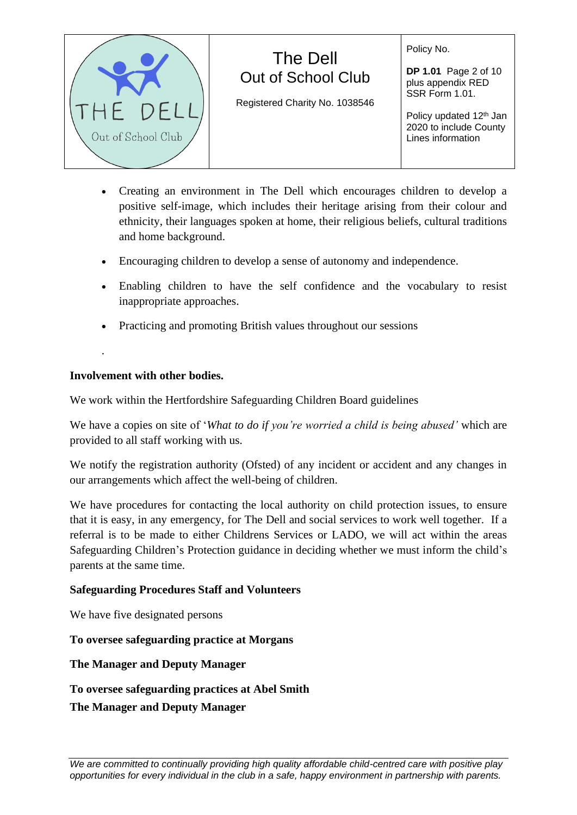### Policy No.

**DP 1.01** Page 2 of 10 plus appendix RED SSR Form 1.01.

Policy updated 12<sup>th</sup> Jan 2020 to include County Lines information

• Creating an environment in The Dell which encourages children to develop a positive self-image, which includes their heritage arising from their colour and ethnicity, their languages spoken at home, their religious beliefs, cultural traditions and home background.

The Dell Out of School Club

Registered Charity No. 1038546

- Encouraging children to develop a sense of autonomy and independence.
- Enabling children to have the self confidence and the vocabulary to resist inappropriate approaches.
- Practicing and promoting British values throughout our sessions

# **Involvement with other bodies.**

.

We work within the Hertfordshire Safeguarding Children Board guidelines

We have a copies on site of '*What to do if you're worried a child is being abused'* which are provided to all staff working with us.

We notify the registration authority (Ofsted) of any incident or accident and any changes in our arrangements which affect the well-being of children.

We have procedures for contacting the local authority on child protection issues, to ensure that it is easy, in any emergency, for The Dell and social services to work well together. If a referral is to be made to either Childrens Services or LADO, we will act within the areas Safeguarding Children's Protection guidance in deciding whether we must inform the child's parents at the same time.

### **Safeguarding Procedures Staff and Volunteers**

We have five designated persons

# **To oversee safeguarding practice at Morgans**

# **The Manager and Deputy Manager**

# **To oversee safeguarding practices at Abel Smith**

### **The Manager and Deputy Manager**

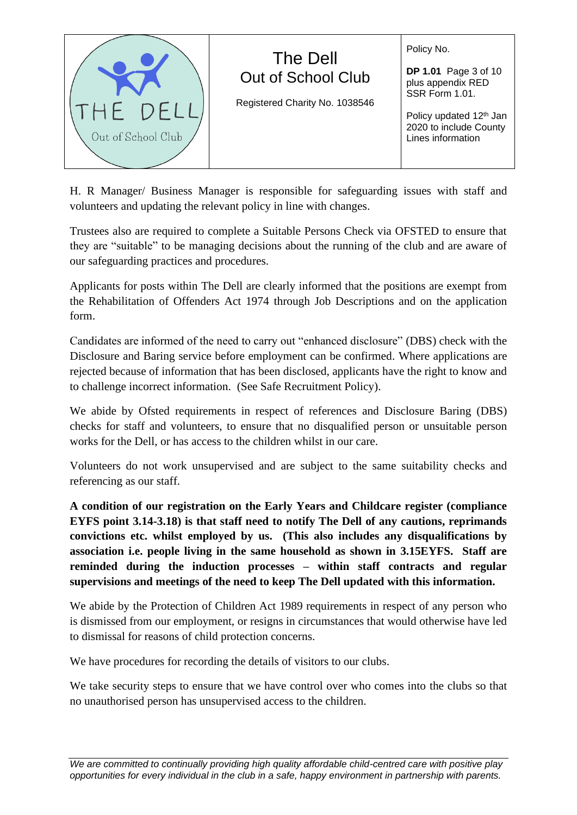

H. R Manager/ Business Manager is responsible for safeguarding issues with staff and volunteers and updating the relevant policy in line with changes.

Trustees also are required to complete a Suitable Persons Check via OFSTED to ensure that they are "suitable" to be managing decisions about the running of the club and are aware of our safeguarding practices and procedures.

Applicants for posts within The Dell are clearly informed that the positions are exempt from the Rehabilitation of Offenders Act 1974 through Job Descriptions and on the application form.

Candidates are informed of the need to carry out "enhanced disclosure" (DBS) check with the Disclosure and Baring service before employment can be confirmed. Where applications are rejected because of information that has been disclosed, applicants have the right to know and to challenge incorrect information. (See Safe Recruitment Policy).

We abide by Ofsted requirements in respect of references and Disclosure Baring (DBS) checks for staff and volunteers, to ensure that no disqualified person or unsuitable person works for the Dell, or has access to the children whilst in our care.

Volunteers do not work unsupervised and are subject to the same suitability checks and referencing as our staff.

**A condition of our registration on the Early Years and Childcare register (compliance EYFS point 3.14-3.18) is that staff need to notify The Dell of any cautions, reprimands convictions etc. whilst employed by us. (This also includes any disqualifications by association i.e. people living in the same household as shown in 3.15EYFS. Staff are reminded during the induction processes – within staff contracts and regular supervisions and meetings of the need to keep The Dell updated with this information.** 

We abide by the Protection of Children Act 1989 requirements in respect of any person who is dismissed from our employment, or resigns in circumstances that would otherwise have led to dismissal for reasons of child protection concerns.

We have procedures for recording the details of visitors to our clubs.

We take security steps to ensure that we have control over who comes into the clubs so that no unauthorised person has unsupervised access to the children.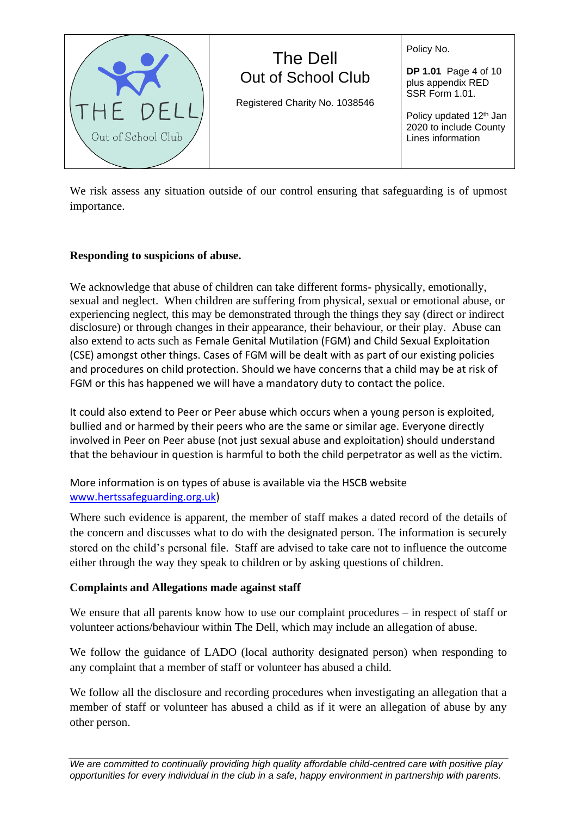Out of School Club

Registered Charity No. 1038546

The Dell

Policy No.

**DP 1.01** Page 4 of 10 plus appendix RED SSR Form 1.01.

Policy updated 12<sup>th</sup> Jan 2020 to include County Lines information

We risk assess any situation outside of our control ensuring that safeguarding is of upmost importance.

### **Responding to suspicions of abuse.**

We acknowledge that abuse of children can take different forms- physically, emotionally, sexual and neglect. When children are suffering from physical, sexual or emotional abuse, or experiencing neglect, this may be demonstrated through the things they say (direct or indirect disclosure) or through changes in their appearance, their behaviour, or their play. Abuse can also extend to acts such as Female Genital Mutilation (FGM) and Child Sexual Exploitation (CSE) amongst other things. Cases of FGM will be dealt with as part of our existing policies and procedures on child protection. Should we have concerns that a child may be at risk of FGM or this has happened we will have a mandatory duty to contact the police.

It could also extend to Peer or Peer abuse which occurs when a young person is exploited, bullied and or harmed by their peers who are the same or similar age. Everyone directly involved in Peer on Peer abuse (not just sexual abuse and exploitation) should understand that the behaviour in question is harmful to both the child perpetrator as well as the victim.

# More information is on types of abuse is available via the HSCB website [www.hertssafeguarding.org.uk\)](http://www.hertssafeguarding.org.uk/)

Where such evidence is apparent, the member of staff makes a dated record of the details of the concern and discusses what to do with the designated person. The information is securely stored on the child's personal file. Staff are advised to take care not to influence the outcome either through the way they speak to children or by asking questions of children.

### **Complaints and Allegations made against staff**

We ensure that all parents know how to use our complaint procedures – in respect of staff or volunteer actions/behaviour within The Dell, which may include an allegation of abuse.

We follow the guidance of LADO (local authority designated person) when responding to any complaint that a member of staff or volunteer has abused a child.

We follow all the disclosure and recording procedures when investigating an allegation that a member of staff or volunteer has abused a child as if it were an allegation of abuse by any other person.

Out of School Club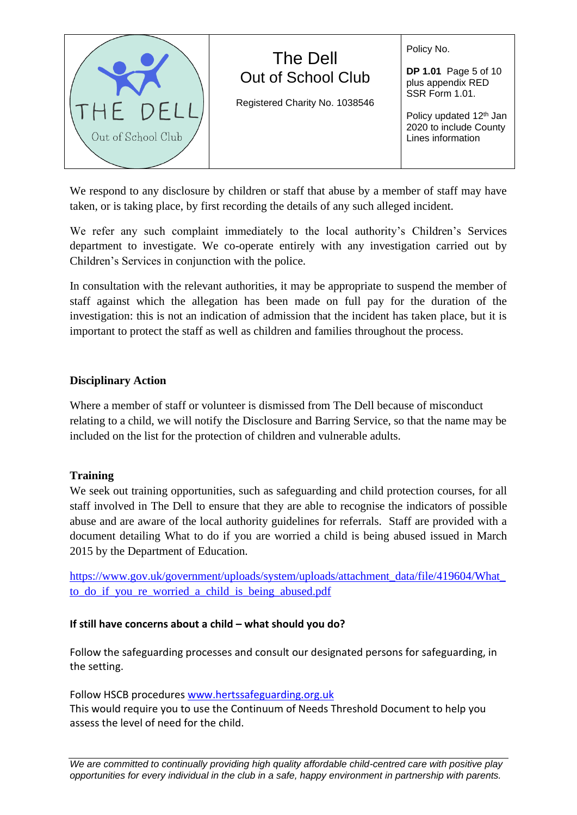

We respond to any disclosure by children or staff that abuse by a member of staff may have taken, or is taking place, by first recording the details of any such alleged incident.

We refer any such complaint immediately to the local authority's Children's Services department to investigate. We co-operate entirely with any investigation carried out by Children's Services in conjunction with the police.

In consultation with the relevant authorities, it may be appropriate to suspend the member of staff against which the allegation has been made on full pay for the duration of the investigation: this is not an indication of admission that the incident has taken place, but it is important to protect the staff as well as children and families throughout the process.

### **Disciplinary Action**

Where a member of staff or volunteer is dismissed from The Dell because of misconduct relating to a child, we will notify the Disclosure and Barring Service, so that the name may be included on the list for the protection of children and vulnerable adults.

### **Training**

We seek out training opportunities, such as safeguarding and child protection courses, for all staff involved in The Dell to ensure that they are able to recognise the indicators of possible abuse and are aware of the local authority guidelines for referrals. Staff are provided with a document detailing What to do if you are worried a child is being abused issued in March 2015 by the Department of Education.

[https://www.gov.uk/government/uploads/system/uploads/attachment\\_data/file/419604/What\\_](https://www.gov.uk/government/uploads/system/uploads/attachment_data/file/419604/What_to_do_if_you_re_worried_a_child_is_being_abused.pdf) to do if you re worried a child is being abused.pdf

### **If still have concerns about a child – what should you do?**

Follow the safeguarding processes and consult our designated persons for safeguarding, in the setting.

Follow HSCB procedures [www.hertssafeguarding.org.uk](http://www.hertssafeguarding.org.uk/)

This would require you to use the Continuum of Needs Threshold Document to help you assess the level of need for the child.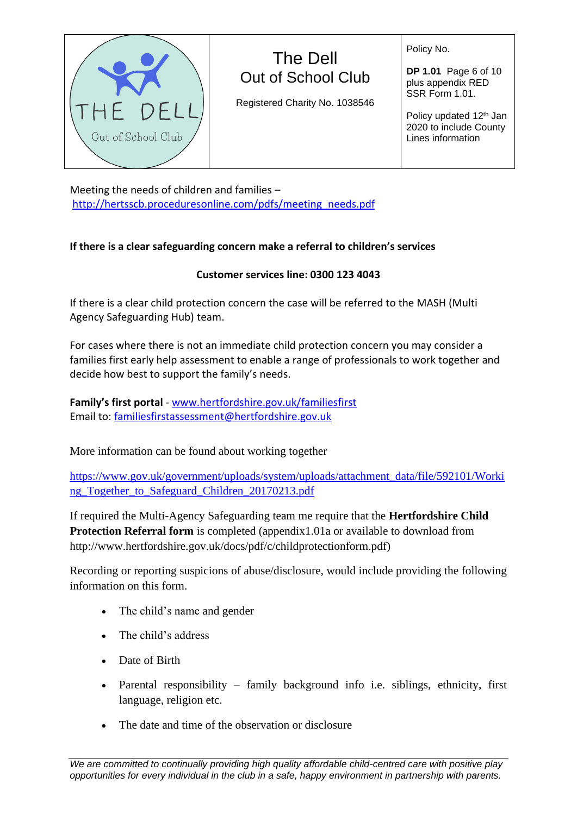

Registered Charity No. 1038546

Policy No.

**DP 1.01** Page 6 of 10 plus appendix RED SSR Form 1.01.

Policy updated 12<sup>th</sup> Jan 2020 to include County Lines information

Meeting the needs of children and families – [http://hertsscb.proceduresonline.com/pdfs/meeting\\_needs.pdf](http://hertsscb.proceduresonline.com/pdfs/meeting_needs.pdf)

# **If there is a clear safeguarding concern make a referral to children's services**

# **Customer services line: 0300 123 4043**

If there is a clear child protection concern the case will be referred to the MASH (Multi Agency Safeguarding Hub) team.

For cases where there is not an immediate child protection concern you may consider a families first early help assessment to enable a range of professionals to work together and decide how best to support the family's needs.

**Family's first portal** - [www.hertfordshire.gov.uk/familiesfirst](http://www.hertfordshire.gov.uk/familiesfirst) Email to[: familiesfirstassessment@hertfordshire.gov.uk](mailto:familiesfirstassessment@hertfordshire.gov.uk)

More information can be found about working together

[https://www.gov.uk/government/uploads/system/uploads/attachment\\_data/file/592101/Worki](https://www.gov.uk/government/uploads/system/uploads/attachment_data/file/592101/Working_Together_to_Safeguard_Children_20170213.pdf) [ng\\_Together\\_to\\_Safeguard\\_Children\\_20170213.pdf](https://www.gov.uk/government/uploads/system/uploads/attachment_data/file/592101/Working_Together_to_Safeguard_Children_20170213.pdf)

If required the Multi-Agency Safeguarding team me require that the **Hertfordshire Child Protection Referral form** is completed (appendix 1.01a or available to download from http://www.hertfordshire.gov.uk/docs/pdf/c/childprotectionform.pdf)

Recording or reporting suspicions of abuse/disclosure, would include providing the following information on this form.

- The child's name and gender
- The child's address
- Date of Birth
- Parental responsibility family background info i.e. siblings, ethnicity, first language, religion etc.
- The date and time of the observation or disclosure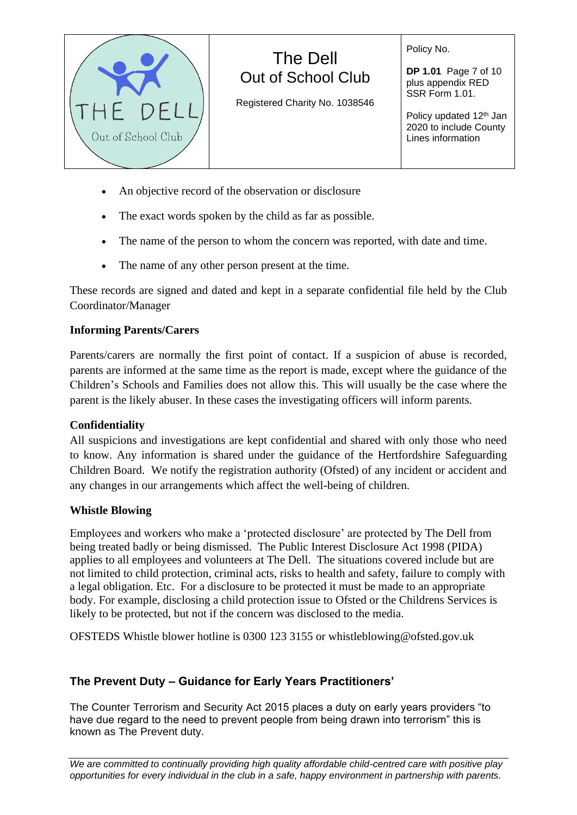

Registered Charity No. 1038546

Policy No.

**DP 1.01** Page 7 of 10 plus appendix RED SSR Form 1.01.

Policy updated 12<sup>th</sup> Jan 2020 to include County Lines information

- An objective record of the observation or disclosure
- The exact words spoken by the child as far as possible.
- The name of the person to whom the concern was reported, with date and time.
- The name of any other person present at the time.

These records are signed and dated and kept in a separate confidential file held by the Club Coordinator/Manager

# **Informing Parents/Carers**

Parents/carers are normally the first point of contact. If a suspicion of abuse is recorded, parents are informed at the same time as the report is made, except where the guidance of the Children's Schools and Families does not allow this. This will usually be the case where the parent is the likely abuser. In these cases the investigating officers will inform parents.

# **Confidentiality**

All suspicions and investigations are kept confidential and shared with only those who need to know. Any information is shared under the guidance of the Hertfordshire Safeguarding Children Board. We notify the registration authority (Ofsted) of any incident or accident and any changes in our arrangements which affect the well-being of children.

# **Whistle Blowing**

Employees and workers who make a 'protected disclosure' are protected by The Dell from being treated badly or being dismissed. The Public Interest Disclosure Act 1998 (PIDA) applies to all employees and volunteers at The Dell. The situations covered include but are not limited to child protection, criminal acts, risks to health and safety, failure to comply with a legal obligation. Etc. For a disclosure to be protected it must be made to an appropriate body. For example, disclosing a child protection issue to Ofsted or the Childrens Services is likely to be protected, but not if the concern was disclosed to the media.

OFSTEDS Whistle blower hotline is 0300 123 3155 or whistleblowing@ofsted.gov.uk

# **The Prevent Duty – Guidance for Early Years Practitioners'**

The Counter Terrorism and Security Act 2015 places a duty on early years providers "to have due regard to the need to prevent people from being drawn into terrorism" this is known as The Prevent duty.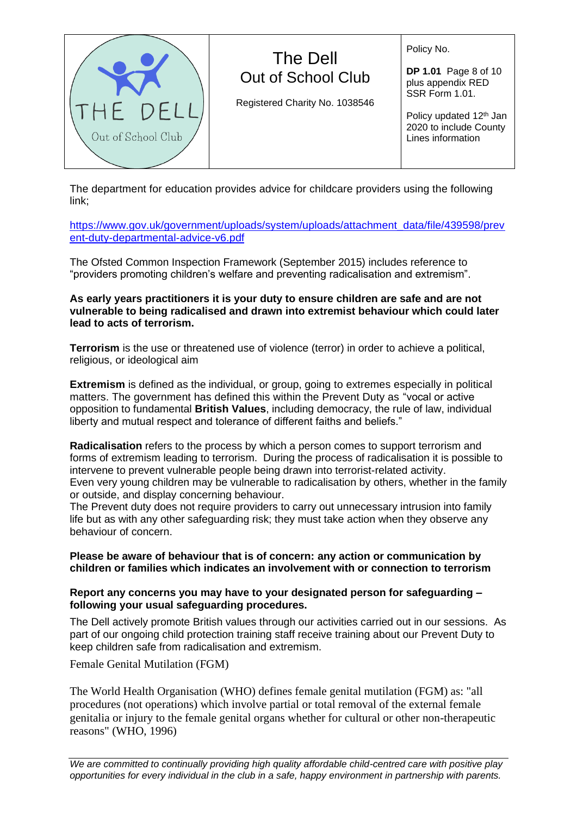

liberty and mutual respect and tolerance of different faiths and beliefs." **Radicalisation** refers to the process by which a person comes to support terrorism and forms of extremism leading to terrorism. During the process of radicalisation it is possible to

The Dell

Out of School Club

Registered Charity No. 1038546

The department for education provides advice for childcare providers using the following

[https://www.gov.uk/government/uploads/system/uploads/attachment\\_data/file/439598/prev](https://www.gov.uk/government/uploads/system/uploads/attachment_data/file/439598/prevent-duty-departmental-advice-v6.pdf)

The Ofsted Common Inspection Framework (September 2015) includes reference to "providers promoting children's welfare and preventing radicalisation and extremism".

**As early years practitioners it is your duty to ensure children are safe and are not**

intervene to prevent vulnerable people being drawn into terrorist-related activity. Even very young children may be vulnerable to radicalisation by others, whether in the family or outside, and display concerning behaviour.

The Prevent duty does not require providers to carry out unnecessary intrusion into family life but as with any other safeguarding risk; they must take action when they observe any behaviour of concern.

#### **Please be aware of behaviour that is of concern: any action or communication by children or families which indicates an involvement with or connection to terrorism**

#### **Report any concerns you may have to your designated person for safeguarding – following your usual safeguarding procedures.**

The Dell actively promote British values through our activities carried out in our sessions. As part of our ongoing child protection training staff receive training about our Prevent Duty to keep children safe from radicalisation and extremism.

Female Genital Mutilation (FGM)

The World Health Organisation (WHO) defines female genital mutilation (FGM) as: "all procedures (not operations) which involve partial or total removal of the external female genitalia or injury to the female genital organs whether for cultural or other non-therapeutic reasons" (WHO, 1996)

Policy No.

**DP 1.01** Page 8 of 10 plus appendix RED SSR Form 1.01.

Policy updated 12<sup>th</sup> Jan 2020 to include County Lines information



[ent-duty-departmental-advice-v6.pdf](https://www.gov.uk/government/uploads/system/uploads/attachment_data/file/439598/prevent-duty-departmental-advice-v6.pdf)

link;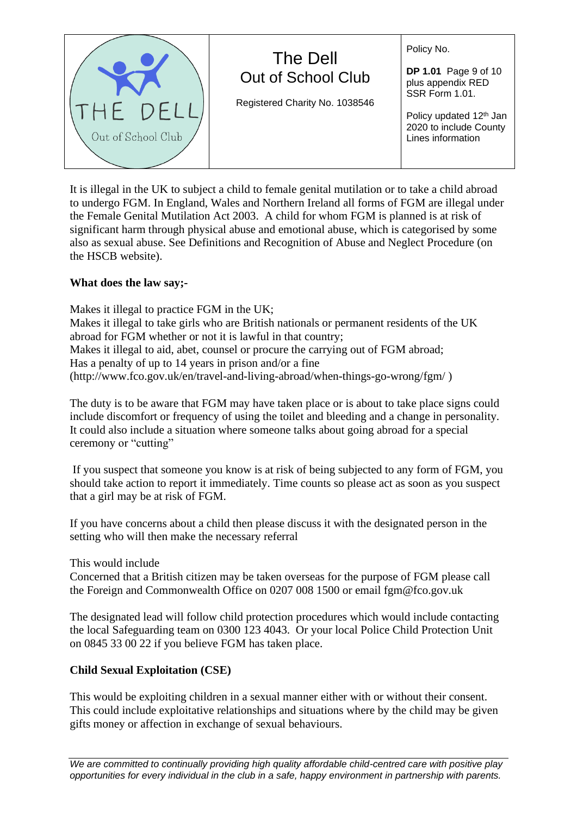| THE DELL<br>Out of School Club | The Dell<br>Out of School Club<br>Registered Charity No. 1038546 | Policy No.<br><b>DP 1.01</b> Page 9 of 10<br>plus appendix RED<br>SSR Form 1.01.<br>Policy updated 12 <sup>th</sup> Jan<br>2020 to include County<br>Lines information |
|--------------------------------|------------------------------------------------------------------|------------------------------------------------------------------------------------------------------------------------------------------------------------------------|
|--------------------------------|------------------------------------------------------------------|------------------------------------------------------------------------------------------------------------------------------------------------------------------------|

It is illegal in the UK to subject a child to female genital mutilation or to take a child abroad to undergo FGM. In England, Wales and Northern Ireland all forms of FGM are illegal under the Female Genital Mutilation Act 2003. A child for whom FGM is planned is at risk of significant harm through physical abuse and emotional abuse, which is categorised by some also as sexual abuse. See Definitions and Recognition of Abuse and Neglect Procedure (on the HSCB website).

### **What does the law say;-**

Makes it illegal to practice FGM in the UK; Makes it illegal to take girls who are British nationals or permanent residents of the UK abroad for FGM whether or not it is lawful in that country; Makes it illegal to aid, abet, counsel or procure the carrying out of FGM abroad; Has a penalty of up to 14 years in prison and/or a fine (http://www.fco.gov.uk/en/travel-and-living-abroad/when-things-go-wrong/fgm/ )

The duty is to be aware that FGM may have taken place or is about to take place signs could include discomfort or frequency of using the toilet and bleeding and a change in personality. It could also include a situation where someone talks about going abroad for a special ceremony or "cutting"

If you suspect that someone you know is at risk of being subjected to any form of FGM, you should take action to report it immediately. Time counts so please act as soon as you suspect that a girl may be at risk of FGM.

If you have concerns about a child then please discuss it with the designated person in the setting who will then make the necessary referral

This would include

Concerned that a British citizen may be taken overseas for the purpose of FGM please call the Foreign and Commonwealth Office on 0207 008 1500 or email fgm@fco.gov.uk

The designated lead will follow child protection procedures which would include contacting the local Safeguarding team on 0300 123 4043. Or your local Police Child Protection Unit on 0845 33 00 22 if you believe FGM has taken place.

### **Child Sexual Exploitation (CSE)**

This would be exploiting children in a sexual manner either with or without their consent. This could include exploitative relationships and situations where by the child may be given gifts money or affection in exchange of sexual behaviours.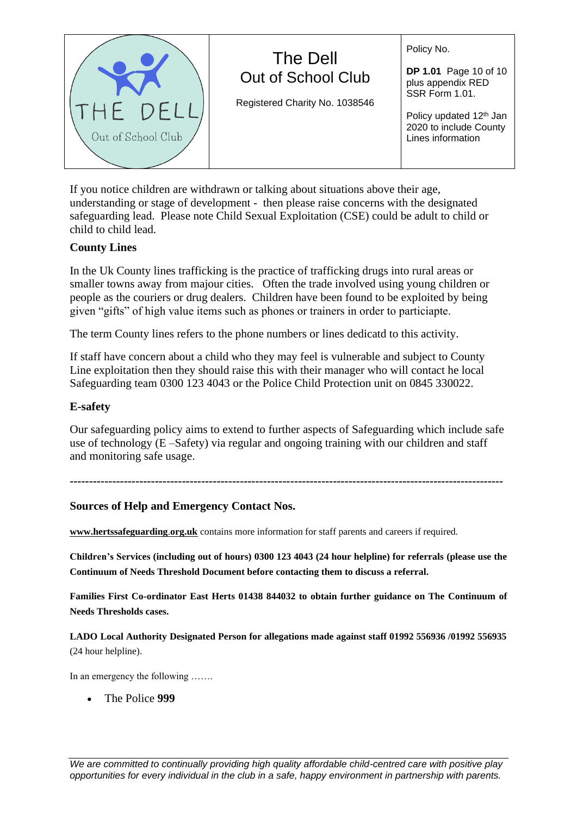Registered Charity No. 1038546

Policy No.

**DP 1.01** Page 10 of 10 plus appendix RED SSR Form 1.01.

Policy updated 12<sup>th</sup> Jan 2020 to include County Lines information

If you notice children are withdrawn or talking about situations above their age, understanding or stage of development - then please raise concerns with the designated safeguarding lead. Please note Child Sexual Exploitation (CSE) could be adult to child or child to child lead.

# **County Lines**

In the Uk County lines trafficking is the practice of trafficking drugs into rural areas or smaller towns away from majour cities. Often the trade involved using young children or people as the couriers or drug dealers. Children have been found to be exploited by being given "gifts" of high value items such as phones or trainers in order to particiapte.

The term County lines refers to the phone numbers or lines dedicatd to this activity.

If staff have concern about a child who they may feel is vulnerable and subject to County Line exploitation then they should raise this with their manager who will contact he local Safeguarding team 0300 123 4043 or the Police Child Protection unit on 0845 330022.

# **E-safety**

Our safeguarding policy aims to extend to further aspects of Safeguarding which include safe use of technology (E –Safety) via regular and ongoing training with our children and staff and monitoring safe usage.

**----------------------------------------------------------------------------------------------------------------**

# **Sources of Help and Emergency Contact Nos.**

**[www.hertssafeguarding](http://www.hertssafeguarding/)**.**org.uk** contains more information for staff parents and careers if required.

**Children's Services (including out of hours) 0300 123 4043 (24 hour helpline) for referrals (please use the Continuum of Needs Threshold Document before contacting them to discuss a referral.** 

**Families First Co-ordinator East Herts 01438 844032 to obtain further guidance on The Continuum of Needs Thresholds cases.** 

**LADO Local Authority Designated Person for allegations made against staff 01992 556936 /01992 556935** (24 hour helpline).

In an emergency the following …….

• The Police **999**